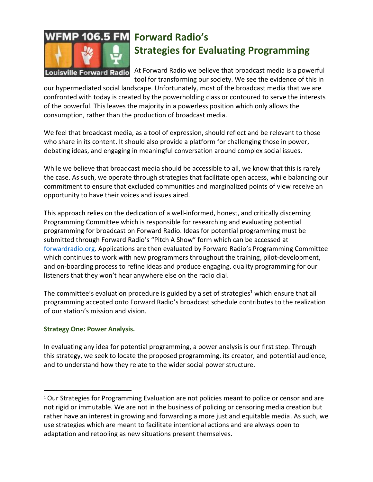

## **Forward Radio's Strategies for Evaluating Programming**

At Forward Radio we believe that broadcast media is a powerful tool for transforming our society. We see the evidence of this in

our hypermediated social landscape. Unfortunately, most of the broadcast media that we are confronted with today is created by the powerholding class or contoured to serve the interests of the powerful. This leaves the majority in a powerless position which only allows the consumption, rather than the production of broadcast media.

We feel that broadcast media, as a tool of expression, should reflect and be relevant to those who share in its content. It should also provide a platform for challenging those in power, debating ideas, and engaging in meaningful conversation around complex social issues.

While we believe that broadcast media should be accessible to all, we know that this is rarely the case. As such, we operate through strategies that facilitate open access, while balancing our commitment to ensure that excluded communities and marginalized points of view receive an opportunity to have their voices and issues aired.

This approach relies on the dedication of a well-informed, honest, and critically discerning Programming Committee which is responsible for researching and evaluating potential programming for broadcast on Forward Radio. Ideas for potential programming must be submitted through Forward Radio's "Pitch A Show" form which can be accessed at [forwardradio.org.](http://www.forwardradio.org/) Applications are then evaluated by Forward Radio's Programming Committee which continues to work with new programmers throughout the training, pilot-development, and on-boarding process to refine ideas and produce engaging, quality programming for our listeners that they won't hear anywhere else on the radio dial.

The committee's evaluation procedure is guided by a set of strategies<sup>1</sup> which ensure that all programming accepted onto Forward Radio's broadcast schedule contributes to the realization of our station's mission and vision.

## **Strategy One: Power Analysis.**

In evaluating any idea for potential programming, a power analysis is our first step. Through this strategy, we seek to locate the proposed programming, its creator, and potential audience, and to understand how they relate to the wider social power structure.

<sup>&</sup>lt;sup>1</sup> Our Strategies for Programming Evaluation are not policies meant to police or censor and are not rigid or immutable. We are not in the business of policing or censoring media creation but rather have an interest in growing and forwarding a more just and equitable media. As such, we use strategies which are meant to facilitate intentional actions and are always open to adaptation and retooling as new situations present themselves.